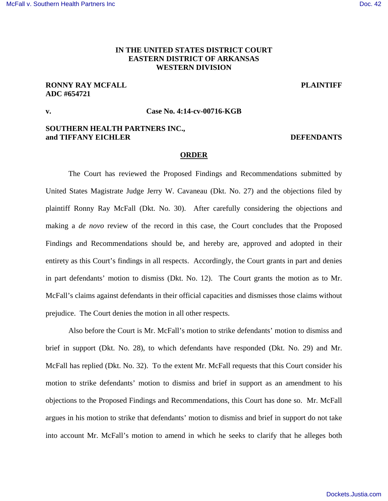### [McFall v. Southern Health Partners Inc](https://dockets.justia.com/docket/arkansas/aredce/4:2014cv00716/98590/) **[Doc. 42](https://docs.justia.com/cases/federal/district-courts/arkansas/aredce/4:2014cv00716/98590/42/)** and the United States of the United States of the Doc. 42

## **IN THE UNITED STATES DISTRICT COURT EASTERN DISTRICT OF ARKANSAS WESTERN DIVISION**

# **RONNY RAY MCFALL PLAINTIFF PLAINTIFF ADC #654721**

## **v. Case No. 4:14-cv-00716-KGB**

## **SOUTHERN HEALTH PARTNERS INC., and TIFFANY EICHLER DEFENDANTS**

### **ORDER**

 The Court has reviewed the Proposed Findings and Recommendations submitted by United States Magistrate Judge Jerry W. Cavaneau (Dkt. No. 27) and the objections filed by plaintiff Ronny Ray McFall (Dkt. No. 30). After carefully considering the objections and making a *de novo* review of the record in this case, the Court concludes that the Proposed Findings and Recommendations should be, and hereby are, approved and adopted in their entirety as this Court's findings in all respects. Accordingly, the Court grants in part and denies in part defendants' motion to dismiss (Dkt. No. 12). The Court grants the motion as to Mr. McFall's claims against defendants in their official capacities and dismisses those claims without prejudice. The Court denies the motion in all other respects.

 Also before the Court is Mr. McFall's motion to strike defendants' motion to dismiss and brief in support (Dkt. No. 28), to which defendants have responded (Dkt. No. 29) and Mr. McFall has replied (Dkt. No. 32). To the extent Mr. McFall requests that this Court consider his motion to strike defendants' motion to dismiss and brief in support as an amendment to his objections to the Proposed Findings and Recommendations, this Court has done so. Mr. McFall argues in his motion to strike that defendants' motion to dismiss and brief in support do not take into account Mr. McFall's motion to amend in which he seeks to clarify that he alleges both

[Dockets.Justia.com](https://dockets.justia.com/)